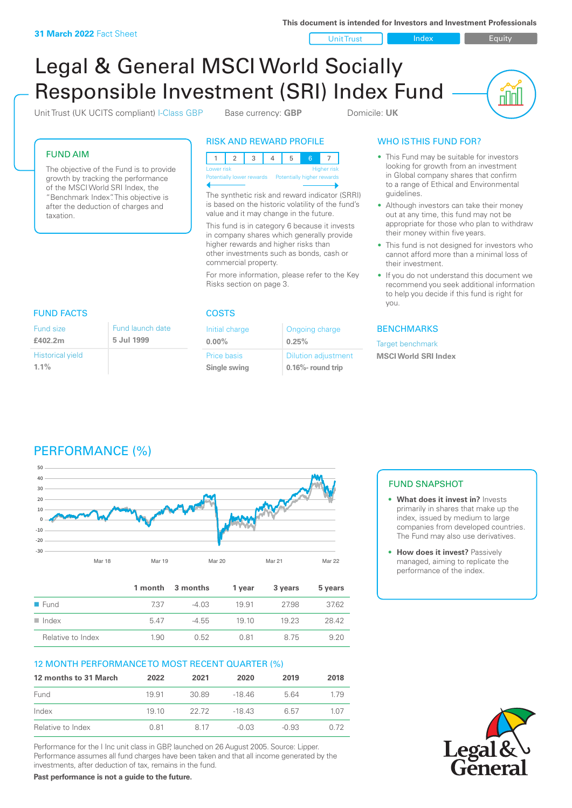**This document is intended for Investors and Investment Professionals**

Unit Trust Index I Equity

<u>nini</u>

# Legal & General MSCI World Socially Responsible Investment (SRI) Index Fund

Unit Trust (UK UCITS compliant) I-Class GBP Base currency: **GBP** Domicile: UK

FUND AIM

The objective of the Fund is to provide growth by tracking the performance of the MSCI World SRI Index, the "Benchmark Index". This objective is after the deduction of charges and taxation.

# RISK AND REWARD PROFILE



The synthetic risk and reward indicator (SRRI) is based on the historic volatility of the fund's value and it may change in the future.

This fund is in category 6 because it invests in company shares which generally provide higher rewards and higher risks than other investments such as bonds, cash or commercial property.

For more information, please refer to the Key Risks section on page 3.

Ongoing charge

Dilution adjustment **0.16%- round trip**

**0.25%**

Initial charge **0.00%**

Price basis **Single swing**

# WHO IS THIS FUND FOR?

- This Fund may be suitable for investors looking for growth from an investment in Global company shares that confirm to a range of Ethical and Environmental guidelines.
- Although investors can take their money out at any time, this fund may not be appropriate for those who plan to withdraw their money within five years.
- This fund is not designed for investors who cannot afford more than a minimal loss of their investment.
- If you do not understand this document we recommend you seek additional information to help you decide if this fund is right for you.

#### **BENCHMARKS**

Target benchmark **MSCI World SRI Index**

#### FUND FACTS COSTS Fund size **£402.2m** Historical yield Fund launch date **5 Jul 1999**

**1.1%**



|                     |      | 1 month 3 months | 1 vear | 3 years | 5 years |
|---------------------|------|------------------|--------|---------|---------|
| $\blacksquare$ Fund | 737  | $-4.03$          | 1991   | 2798    | 37.62   |
| Index               | 547  | $-4.55$          | 1910   | 19 23   | 28.42   |
| Relative to Index   | 1.90 | 0.52             | 0.81   | 875     | 920     |

# 12 MONTH PERFORMANCE TO MOST RECENT QUARTER (%)

| 12 months to 31 March | 2022  | 2021  | 2020   | 2019    | 2018 |
|-----------------------|-------|-------|--------|---------|------|
| Fund                  | 1991  | 30.89 | -18 46 | 5.64    | 179  |
| Index                 | 19 10 | 22.72 | -18 43 | 6.57    | 1.07 |
| Relative to Index     | 0.81  | 8.17  | -0.03  | $-0.93$ | 0.72 |

Performance for the I Inc unit class in GBP, launched on 26 August 2005. Source: Lipper. Performance assumes all fund charges have been taken and that all income generated by the investments, after deduction of tax, remains in the fund.

**Past performance is not a guide to the future.**

# FUND SNAPSHOT

- **• What does it invest in?** Invests primarily in shares that make up the index, issued by medium to large companies from developed countries. The Fund may also use derivatives.
- **• How does it invest?** Passively managed, aiming to replicate the performance of the index.

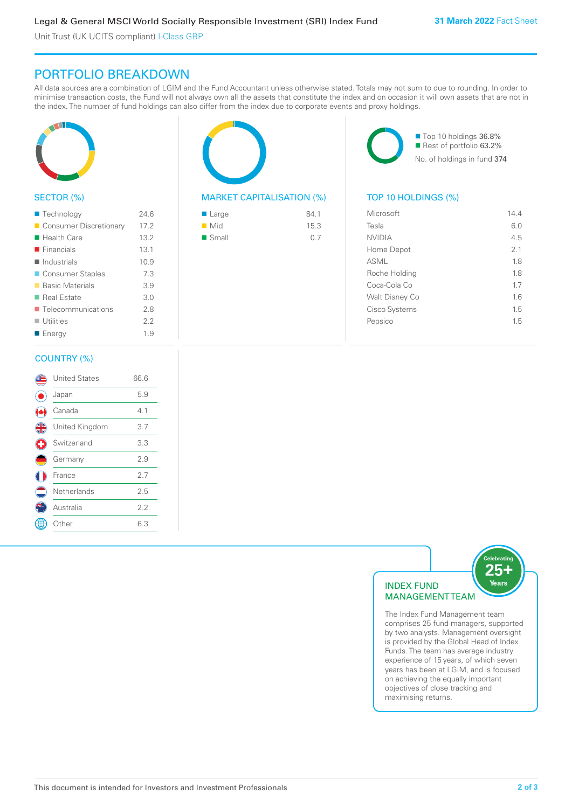Unit Trust (UK UCITS compliant) I-Class GBP

# PORTFOLIO BREAKDOWN

All data sources are a combination of LGIM and the Fund Accountant unless otherwise stated. Totals may not sum to due to rounding. In order to minimise transaction costs, the Fund will not always own all the assets that constitute the index and on occasion it will own assets that are not in the index. The number of fund holdings can also differ from the index due to corporate events and proxy holdings.



## SECTOR (%)

| ■ Technology                      | 24.6 |
|-----------------------------------|------|
| Consumer Discretionary            | 17.2 |
| ■ Health Care                     | 13.2 |
| $\blacksquare$ Financials         | 13.1 |
| $\blacksquare$ Industrials        | 10.9 |
| ■ Consumer Staples                | 7.3  |
| ■ Basic Materials                 | 3.9  |
| ■ Real Estate                     | 3.0  |
| $\blacksquare$ Telecommunications | 2.8  |
| $\blacksquare$ Utilities          | 2.2  |
| ■ Energy                          | 1.9  |
|                                   |      |

#### COUNTRY (%)

|               | <b>United States</b> | 66.6 |  |
|---------------|----------------------|------|--|
|               | Japan                | 5.9  |  |
|               | Canada               | 4.1  |  |
| $\frac{4}{5}$ | United Kingdom       | 3.7  |  |
| Ŧ             | Switzerland          | 3.3  |  |
|               | Germany              | 2.9  |  |
|               | France               | 2.7  |  |
|               | Netherlands          | 2.5  |  |
|               | Australia            | 2.2  |  |
|               | Other                | 6.3  |  |
|               |                      |      |  |



### MARKET CAPITALISATION (%) TOP 10 HOLDINGS (%)

| ■ Large              | 84.1 |
|----------------------|------|
| $\blacksquare$ Mid   | 15.3 |
| $\blacksquare$ Small | 0.7  |

■ Top 10 holdings 36.8% Rest of portfolio 63.2% No. of holdings in fund 374

| Microsoft      | 144 |
|----------------|-----|
| Tesla          | 6.0 |
| <b>NVIDIA</b>  | 4.5 |
| Home Depot     | 21  |
| ASML           | 1.8 |
| Roche Holding  | 18  |
| Coca-Cola Co   | 17  |
| Walt Disney Co | 16  |
| Cisco Systems  | 1.5 |
| Pepsico        | 1.5 |
|                |     |



The Index Fund Management team comprises 25 fund managers, supported by two analysts. Management oversight is provided by the Global Head of Index Funds. The team has average industry experience of 15 years, of which seven years has been at LGIM, and is focused on achieving the equally important objectives of close tracking and maximising returns.